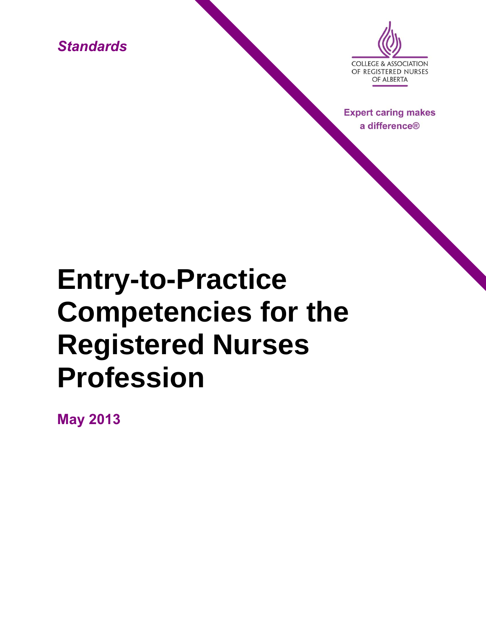*Standards*



**Expert caring makes** a difference<sup>®</sup>

# **Entry-to-Practice Competencies for the Registered Nurses Profession**

**May 2013**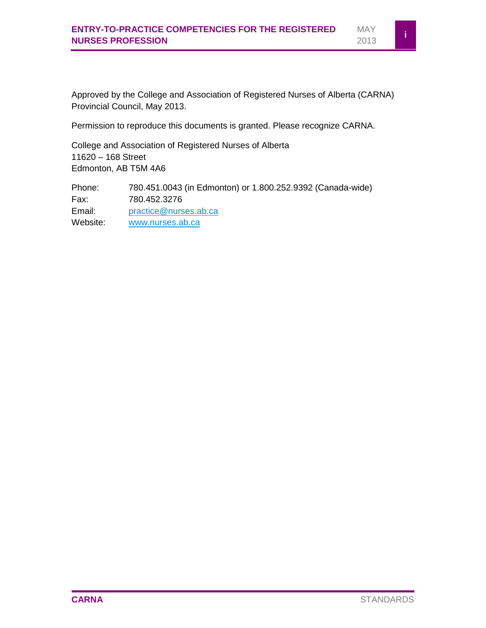Approved by the College and Association of Registered Nurses of Alberta (CARNA) Provincial Council, May 2013.

Permission to reproduce this documents is granted. Please recognize CARNA.

College and Association of Registered Nurses of Alberta 11620 – 168 Street Edmonton, AB T5M 4A6

Phone: 780.451.0043 (in Edmonton) or 1.800.252.9392 (Canada-wide) Fax: 780.452.3276 Email: [practice@nurses.ab.ca](mailto:practice@nurses.ab.ca) Website: [www.nurses.ab.ca](http://www.nurses.ab.ca/)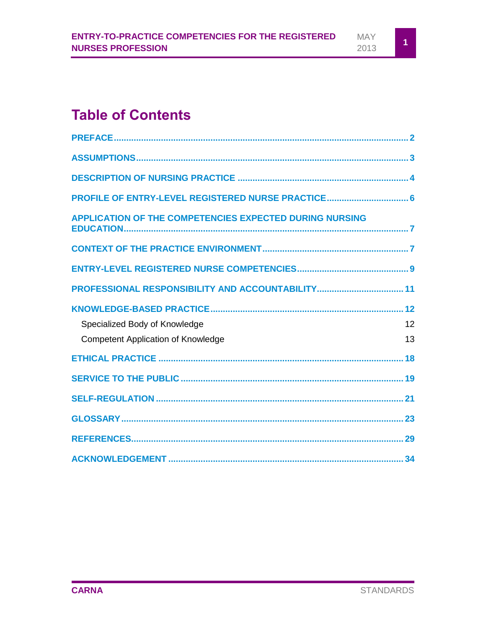# **Table of Contents**

| PROFILE OF ENTRY-LEVEL REGISTERED NURSE PRACTICE 6             |    |
|----------------------------------------------------------------|----|
| <b>APPLICATION OF THE COMPETENCIES EXPECTED DURING NURSING</b> |    |
|                                                                |    |
|                                                                |    |
|                                                                |    |
|                                                                |    |
| Specialized Body of Knowledge                                  | 12 |
| <b>Competent Application of Knowledge</b>                      | 13 |
|                                                                |    |
|                                                                |    |
|                                                                |    |
|                                                                |    |
|                                                                |    |
|                                                                |    |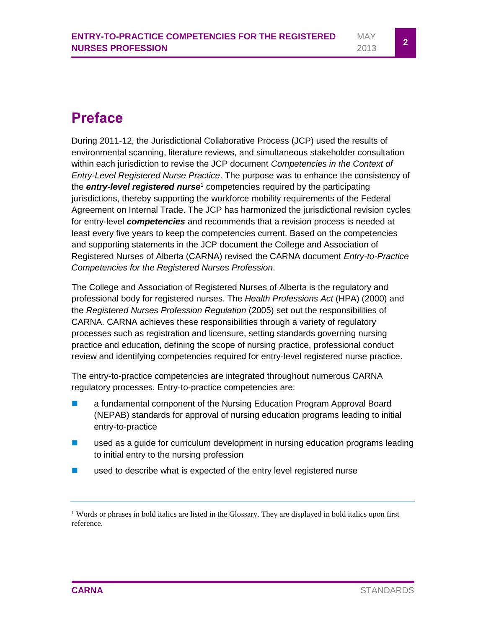### <span id="page-3-0"></span>**Preface**

During 2011-12, the Jurisdictional Collaborative Process (JCP) used the results of environmental scanning, literature reviews, and simultaneous stakeholder consultation within each jurisdiction to revise the JCP document *Competencies in the Context of Entry-Level Registered Nurse Practice*. The purpose was to enhance the consistency of the *entry-level registered nurse*<sup>1</sup> competencies required by the participating jurisdictions, thereby supporting the workforce mobility requirements of the Federal Agreement on Internal Trade. The JCP has harmonized the jurisdictional revision cycles for entry-level *competencies* and recommends that a revision process is needed at least every five years to keep the competencies current. Based on the competencies and supporting statements in the JCP document the College and Association of Registered Nurses of Alberta (CARNA) revised the CARNA document *Entry-to-Practice Competencies for the Registered Nurses Profession*.

The College and Association of Registered Nurses of Alberta is the regulatory and professional body for registered nurses. The *Health Professions Act* (HPA) (2000) and the *Registered Nurses Profession Regulation* (2005) set out the responsibilities of CARNA. CARNA achieves these responsibilities through a variety of regulatory processes such as registration and licensure, setting standards governing nursing practice and education, defining the scope of nursing practice, professional conduct review and identifying competencies required for entry-level registered nurse practice.

The entry-to-practice competencies are integrated throughout numerous CARNA regulatory processes. Entry-to-practice competencies are:

- **E** a fundamental component of the Nursing Education Program Approval Board (NEPAB) standards for approval of nursing education programs leading to initial entry-to-practice
- **EXECUTE:** used as a guide for curriculum development in nursing education programs leading to initial entry to the nursing profession
- used to describe what is expected of the entry level registered nurse

<sup>&</sup>lt;sup>1</sup> Words or phrases in bold italics are listed in the Glossary. They are displayed in bold italics upon first reference.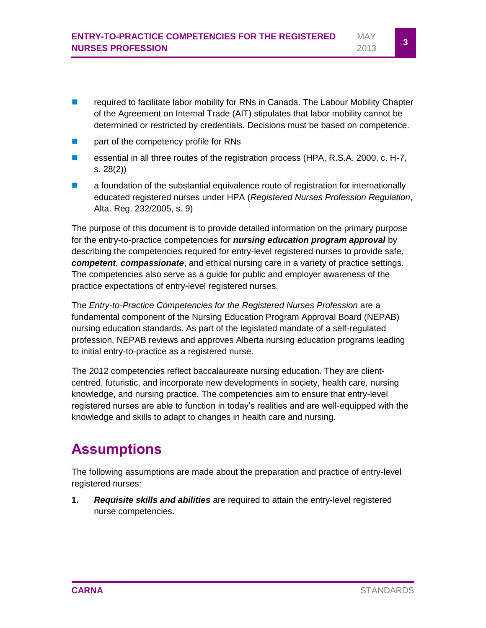- **EXECUTE:** required to facilitate labor mobility for RNs in Canada. The Labour Mobility Chapter of the Agreement on Internal Trade (AIT) stipulates that labor mobility cannot be determined or restricted by credentials. Decisions must be based on competence.
- **part of the competency profile for RNs**
- essential in all three routes of the registration process (HPA, R.S.A. 2000, c. H-7, s. 28(2))
- **E** a foundation of the substantial equivalence route of registration for internationally educated registered nurses under HPA (*Registered Nurses Profession Regulation*, Alta. Reg. 232/2005, s. 9)

The purpose of this document is to provide detailed information on the primary purpose for the entry-to-practice competencies for *nursing education program approval* by describing the competencies required for entry-level registered nurses to provide safe, *competent*, *compassionate*, and ethical nursing care in a variety of practice settings. The competencies also serve as a guide for public and employer awareness of the practice expectations of entry-level registered nurses.

The *Entry-to-Practice Competencies for the Registered Nurses Profession* are a fundamental component of the Nursing Education Program Approval Board (NEPAB) nursing education standards. As part of the legislated mandate of a self-regulated profession, NEPAB reviews and approves Alberta nursing education programs leading to initial entry-to-practice as a registered nurse.

The 2012 competencies reflect baccalaureate nursing education. They are clientcentred, futuristic, and incorporate new developments in society, health care, nursing knowledge, and nursing practice. The competencies aim to ensure that entry-level registered nurses are able to function in today's realities and are well-equipped with the knowledge and skills to adapt to changes in health care and nursing.

# <span id="page-4-0"></span>**Assumptions**

The following assumptions are made about the preparation and practice of entry-level registered nurses:

**1.** *Requisite skills and abilities* are required to attain the entry-level registered nurse competencies.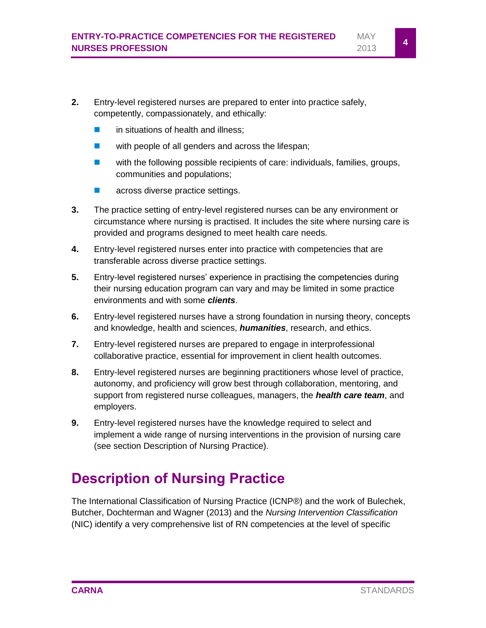- **2.** Entry-level registered nurses are prepared to enter into practice safely, competently, compassionately, and ethically:
	- in situations of health and illness;
	- **u** with people of all genders and across the lifespan;
	- **u** with the following possible recipients of care: individuals, families, groups, communities and populations;
	- **across diverse practice settings.**
- **3.** The practice setting of entry-level registered nurses can be any environment or circumstance where nursing is practised. It includes the site where nursing care is provided and programs designed to meet health care needs.
- **4.** Entry-level registered nurses enter into practice with competencies that are transferable across diverse practice settings.
- **5.** Entry-level registered nurses' experience in practising the competencies during their nursing education program can vary and may be limited in some practice environments and with some *clients*.
- **6.** Entry-level registered nurses have a strong foundation in nursing theory, concepts and knowledge, health and sciences, *humanities*, research, and ethics.
- **7.** Entry-level registered nurses are prepared to engage in interprofessional collaborative practice, essential for improvement in client health outcomes.
- **8.** Entry-level registered nurses are beginning practitioners whose level of practice, autonomy, and proficiency will grow best through collaboration, mentoring, and support from registered nurse colleagues, managers, the *health care team*, and employers.
- **9.** Entry-level registered nurses have the knowledge required to select and implement a wide range of nursing interventions in the provision of nursing care (see section Description of Nursing Practice).

# <span id="page-5-0"></span>**Description of Nursing Practice**

The International Classification of Nursing Practice (ICNP®) and the work of Bulechek, Butcher, Dochterman and Wagner (2013) and the *Nursing Intervention Classification* (NIC) identify a very comprehensive list of RN competencies at the level of specific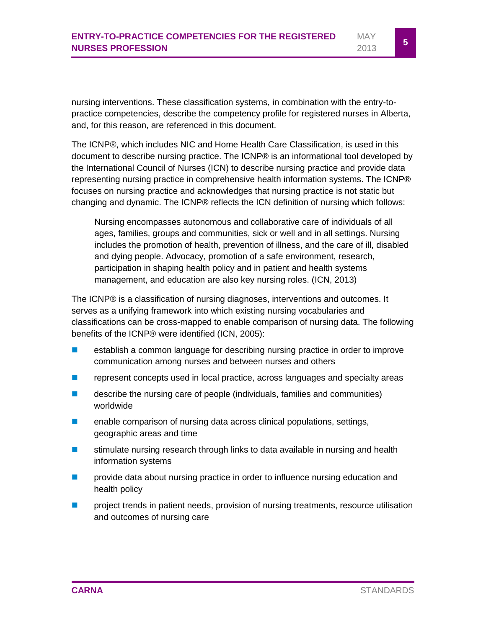nursing interventions. These classification systems, in combination with the entry-topractice competencies, describe the competency profile for registered nurses in Alberta, and, for this reason, are referenced in this document.

The ICNP®, which includes NIC and Home Health Care Classification, is used in this document to describe nursing practice. The ICNP® is an informational tool developed by the International Council of Nurses (ICN) to describe nursing practice and provide data representing nursing practice in comprehensive health information systems. The ICNP® focuses on nursing practice and acknowledges that nursing practice is not static but changing and dynamic. The ICNP® reflects the ICN definition of nursing which follows:

Nursing encompasses autonomous and collaborative care of individuals of all ages, families, groups and communities, sick or well and in all settings. Nursing includes the promotion of health, prevention of illness, and the care of ill, disabled and dying people. Advocacy, promotion of a safe environment, research, participation in shaping health policy and in patient and health systems management, and education are also key nursing roles. (ICN, 2013)

The ICNP® is a classification of nursing diagnoses, interventions and outcomes. It serves as a unifying framework into which existing nursing vocabularies and classifications can be cross-mapped to enable comparison of nursing data. The following benefits of the ICNP® were identified (ICN, 2005):

- **E** establish a common language for describing nursing practice in order to improve communication among nurses and between nurses and others
- **F** represent concepts used in local practice, across languages and specialty areas
- **E** describe the nursing care of people (individuals, families and communities) worldwide
- **E** enable comparison of nursing data across clinical populations, settings, geographic areas and time
- **stimulate nursing research through links to data available in nursing and health** information systems
- **Part** provide data about nursing practice in order to influence nursing education and health policy
- **Particle in the project trends in patient needs, provision of nursing treatments, resource utilisation** and outcomes of nursing care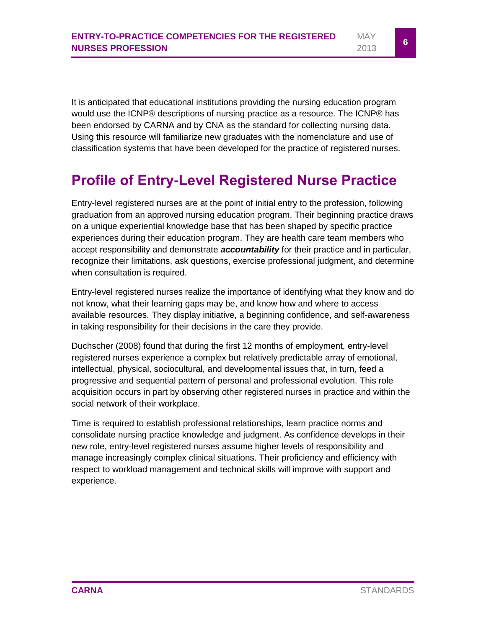It is anticipated that educational institutions providing the nursing education program would use the ICNP® descriptions of nursing practice as a resource. The ICNP® has been endorsed by CARNA and by CNA as the standard for collecting nursing data. Using this resource will familiarize new graduates with the nomenclature and use of classification systems that have been developed for the practice of registered nurses.

### <span id="page-7-0"></span>**Profile of Entry-Level Registered Nurse Practice**

Entry-level registered nurses are at the point of initial entry to the profession, following graduation from an approved nursing education program. Their beginning practice draws on a unique experiential knowledge base that has been shaped by specific practice experiences during their education program. They are health care team members who accept responsibility and demonstrate *accountability* for their practice and in particular, recognize their limitations, ask questions, exercise professional judgment, and determine when consultation is required.

Entry-level registered nurses realize the importance of identifying what they know and do not know, what their learning gaps may be, and know how and where to access available resources. They display initiative, a beginning confidence, and self-awareness in taking responsibility for their decisions in the care they provide.

Duchscher (2008) found that during the first 12 months of employment, entry-level registered nurses experience a complex but relatively predictable array of emotional, intellectual, physical, sociocultural, and developmental issues that, in turn, feed a progressive and sequential pattern of personal and professional evolution. This role acquisition occurs in part by observing other registered nurses in practice and within the social network of their workplace.

Time is required to establish professional relationships, learn practice norms and consolidate nursing practice knowledge and judgment. As confidence develops in their new role, entry-level registered nurses assume higher levels of responsibility and manage increasingly complex clinical situations. Their proficiency and efficiency with respect to workload management and technical skills will improve with support and experience.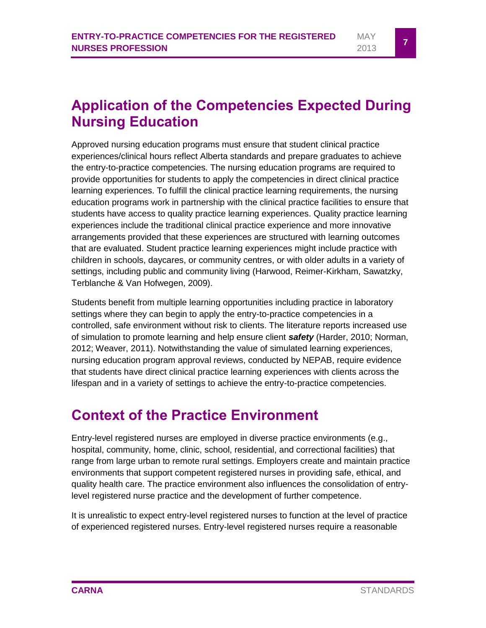MAY  $\frac{100 \text{ N}}{2013}$  **7** 

# <span id="page-8-0"></span>**Application of the Competencies Expected During Nursing Education**

Approved nursing education programs must ensure that student clinical practice experiences/clinical hours reflect Alberta standards and prepare graduates to achieve the entry-to-practice competencies. The nursing education programs are required to provide opportunities for students to apply the competencies in direct clinical practice learning experiences. To fulfill the clinical practice learning requirements, the nursing education programs work in partnership with the clinical practice facilities to ensure that students have access to quality practice learning experiences. Quality practice learning experiences include the traditional clinical practice experience and more innovative arrangements provided that these experiences are structured with learning outcomes that are evaluated. Student practice learning experiences might include practice with children in schools, daycares, or community centres, or with older adults in a variety of settings, including public and community living (Harwood, Reimer-Kirkham, Sawatzky, Terblanche & Van Hofwegen, 2009).

Students benefit from multiple learning opportunities including practice in laboratory settings where they can begin to apply the entry-to-practice competencies in a controlled, safe environment without risk to clients. The literature reports increased use of simulation to promote learning and help ensure client *safety* (Harder, 2010; Norman, 2012; Weaver, 2011). Notwithstanding the value of simulated learning experiences, nursing education program approval reviews, conducted by NEPAB, require evidence that students have direct clinical practice learning experiences with clients across the lifespan and in a variety of settings to achieve the entry-to-practice competencies.

### <span id="page-8-1"></span>**Context of the Practice Environment**

Entry-level registered nurses are employed in diverse practice environments (e.g., hospital, community, home, clinic, school, residential, and correctional facilities) that range from large urban to remote rural settings. Employers create and maintain practice environments that support competent registered nurses in providing safe, ethical, and quality health care. The practice environment also influences the consolidation of entrylevel registered nurse practice and the development of further competence.

It is unrealistic to expect entry-level registered nurses to function at the level of practice of experienced registered nurses. Entry-level registered nurses require a reasonable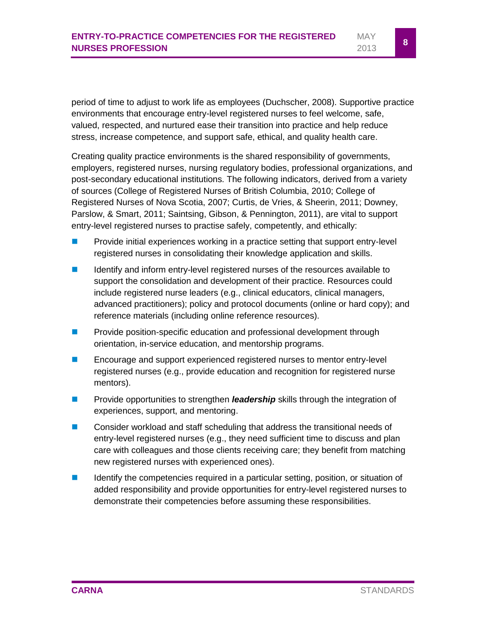period of time to adjust to work life as employees (Duchscher, 2008). Supportive practice environments that encourage entry-level registered nurses to feel welcome, safe, valued, respected, and nurtured ease their transition into practice and help reduce stress, increase competence, and support safe, ethical, and quality health care.

Creating quality practice environments is the shared responsibility of governments, employers, registered nurses, nursing regulatory bodies, professional organizations, and post-secondary educational institutions. The following indicators, derived from a variety of sources (College of Registered Nurses of British Columbia, 2010; College of Registered Nurses of Nova Scotia, 2007; Curtis, de Vries, & Sheerin, 2011; Downey, Parslow, & Smart, 2011; Saintsing, Gibson, & Pennington, 2011), are vital to support entry-level registered nurses to practise safely, competently, and ethically:

- **Provide initial experiences working in a practice setting that support entry-level** registered nurses in consolidating their knowledge application and skills.
- **If** Identify and inform entry-level registered nurses of the resources available to support the consolidation and development of their practice. Resources could include registered nurse leaders (e.g., clinical educators, clinical managers, advanced practitioners); policy and protocol documents (online or hard copy); and reference materials (including online reference resources).
- **Provide position-specific education and professional development through** orientation, in-service education, and mentorship programs.
- **Encourage and support experienced registered nurses to mentor entry-level** registered nurses (e.g., provide education and recognition for registered nurse mentors).
- **Provide opportunities to strengthen** *leadership* skills through the integration of experiences, support, and mentoring.
- Consider workload and staff scheduling that address the transitional needs of entry-level registered nurses (e.g., they need sufficient time to discuss and plan care with colleagues and those clients receiving care; they benefit from matching new registered nurses with experienced ones).
- $\blacksquare$  Identify the competencies required in a particular setting, position, or situation of added responsibility and provide opportunities for entry-level registered nurses to demonstrate their competencies before assuming these responsibilities.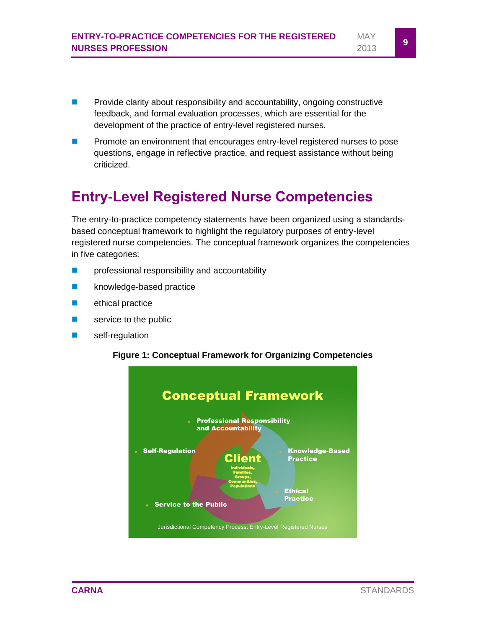- **Provide clarity about responsibility and accountability, ongoing constructive** feedback, and formal evaluation processes, which are essential for the development of the practice of entry-level registered nurses.
- **Promote an environment that encourages entry-level registered nurses to pose** questions, engage in reflective practice, and request assistance without being criticized.

### <span id="page-10-0"></span>**Entry-Level Registered Nurse Competencies**

The entry-to-practice competency statements have been organized using a standardsbased conceptual framework to highlight the regulatory purposes of entry-level registered nurse competencies. The conceptual framework organizes the competencies in five categories:

- **Part** professional responsibility and accountability
- **knowledge-based practice**
- **E** ethical practice
- **Service to the public**
- self-regulation

#### **Figure 1: Conceptual Framework for Organizing Competencies**

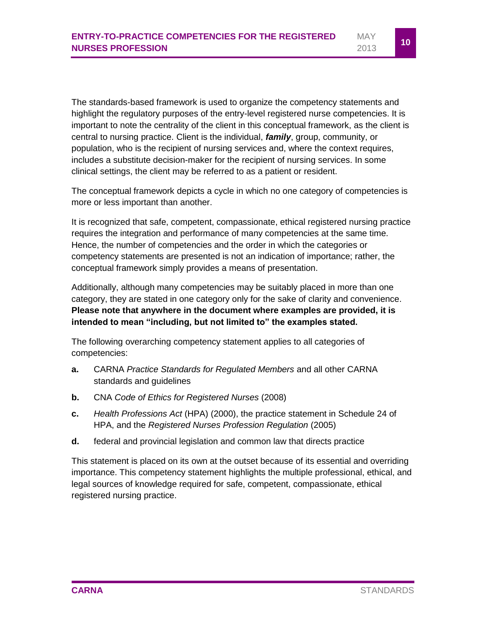The standards-based framework is used to organize the competency statements and highlight the regulatory purposes of the entry-level registered nurse competencies. It is important to note the centrality of the client in this conceptual framework, as the client is central to nursing practice. Client is the individual, *family*, group, community, or population, who is the recipient of nursing services and, where the context requires, includes a substitute decision-maker for the recipient of nursing services. In some clinical settings, the client may be referred to as a patient or resident.

The conceptual framework depicts a cycle in which no one category of competencies is more or less important than another.

It is recognized that safe, competent, compassionate, ethical registered nursing practice requires the integration and performance of many competencies at the same time. Hence, the number of competencies and the order in which the categories or competency statements are presented is not an indication of importance; rather, the conceptual framework simply provides a means of presentation.

Additionally, although many competencies may be suitably placed in more than one category, they are stated in one category only for the sake of clarity and convenience. **Please note that anywhere in the document where examples are provided, it is intended to mean "including, but not limited to" the examples stated.**

The following overarching competency statement applies to all categories of competencies:

- **a.** CARNA *Practice Standards for Regulated Members* and all other CARNA standards and guidelines
- **b.** CNA *Code of Ethics for Registered Nurses* (2008)
- **c.** *Health Professions Act* (HPA) (2000), the practice statement in Schedule 24 of HPA, and the *Registered Nurses Profession Regulation* (2005)
- **d.** federal and provincial legislation and common law that directs practice

This statement is placed on its own at the outset because of its essential and overriding importance. This competency statement highlights the multiple professional, ethical, and legal sources of knowledge required for safe, competent, compassionate, ethical registered nursing practice.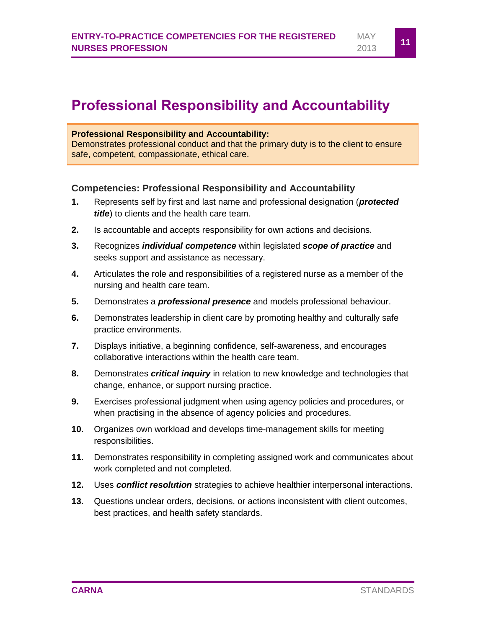### <span id="page-12-0"></span>**Professional Responsibility and Accountability**

#### **Professional Responsibility and Accountability:**

Demonstrates professional conduct and that the primary duty is to the client to ensure safe, competent, compassionate, ethical care.

#### **Competencies: Professional Responsibility and Accountability**

- **1.** Represents self by first and last name and professional designation (*protected title*) to clients and the health care team.
- **2.** Is accountable and accepts responsibility for own actions and decisions.
- **3.** Recognizes *individual competence* within legislated *scope of practice* and seeks support and assistance as necessary.
- **4.** Articulates the role and responsibilities of a registered nurse as a member of the nursing and health care team.
- **5.** Demonstrates a *professional presence* and models professional behaviour.
- **6.** Demonstrates leadership in client care by promoting healthy and culturally safe practice environments.
- **7.** Displays initiative, a beginning confidence, self-awareness, and encourages collaborative interactions within the health care team.
- **8.** Demonstrates *critical inquiry* in relation to new knowledge and technologies that change, enhance, or support nursing practice.
- **9.** Exercises professional judgment when using agency policies and procedures, or when practising in the absence of agency policies and procedures.
- **10.** Organizes own workload and develops time-management skills for meeting responsibilities.
- **11.** Demonstrates responsibility in completing assigned work and communicates about work completed and not completed.
- **12.** Uses *conflict resolution* strategies to achieve healthier interpersonal interactions.
- **13.** Questions unclear orders, decisions, or actions inconsistent with client outcomes, best practices, and health safety standards.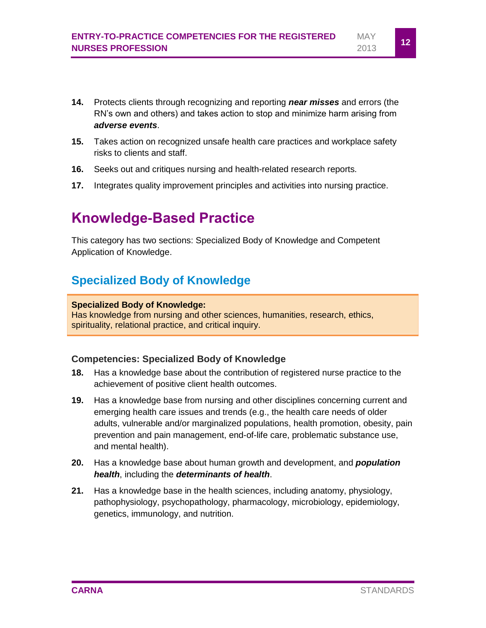- **14.** Protects clients through recognizing and reporting *near misses* and errors (the RN's own and others) and takes action to stop and minimize harm arising from *adverse events*.
- **15.** Takes action on recognized unsafe health care practices and workplace safety risks to clients and staff.
- **16.** Seeks out and critiques nursing and health-related research reports.
- **17.** Integrates quality improvement principles and activities into nursing practice.

### <span id="page-13-0"></span>**Knowledge-Based Practice**

This category has two sections: Specialized Body of Knowledge and Competent Application of Knowledge.

### <span id="page-13-1"></span>**Specialized Body of Knowledge**

#### **Specialized Body of Knowledge:**

Has knowledge from nursing and other sciences, humanities, research, ethics, spirituality, relational practice, and critical inquiry.

#### **Competencies: Specialized Body of Knowledge**

- **18.** Has a knowledge base about the contribution of registered nurse practice to the achievement of positive client health outcomes.
- **19.** Has a knowledge base from nursing and other disciplines concerning current and emerging health care issues and trends (e.g., the health care needs of older adults, vulnerable and/or marginalized populations, health promotion, obesity, pain prevention and pain management, end-of-life care, problematic substance use, and mental health).
- **20.** Has a knowledge base about human growth and development, and *population health*, including the *determinants of health*.
- **21.** Has a knowledge base in the health sciences, including anatomy, physiology, pathophysiology, psychopathology, pharmacology, microbiology, epidemiology, genetics, immunology, and nutrition.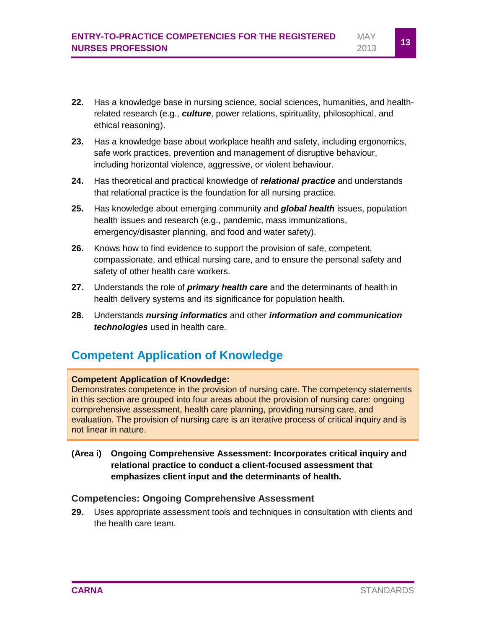- **22.** Has a knowledge base in nursing science, social sciences, humanities, and healthrelated research (e.g., *culture*, power relations, spirituality, philosophical, and ethical reasoning).
- **23.** Has a knowledge base about workplace health and safety, including ergonomics, safe work practices, prevention and management of disruptive behaviour, including horizontal violence, aggressive, or violent behaviour.
- **24.** Has theoretical and practical knowledge of *relational practice* and understands that relational practice is the foundation for all nursing practice.
- **25.** Has knowledge about emerging community and *global health* issues, population health issues and research (e.g., pandemic, mass immunizations, emergency/disaster planning, and food and water safety).
- **26.** Knows how to find evidence to support the provision of safe, competent, compassionate, and ethical nursing care, and to ensure the personal safety and safety of other health care workers.
- **27.** Understands the role of *primary health care* and the determinants of health in health delivery systems and its significance for population health.
- **28.** Understands *nursing informatics* and other *information and communication technologies* used in health care.

### <span id="page-14-0"></span>**Competent Application of Knowledge**

#### **Competent Application of Knowledge:**

Demonstrates competence in the provision of nursing care. The competency statements in this section are grouped into four areas about the provision of nursing care: ongoing comprehensive assessment, health care planning, providing nursing care, and evaluation. The provision of nursing care is an iterative process of critical inquiry and is not linear in nature.

**(Area i) Ongoing Comprehensive Assessment: Incorporates critical inquiry and relational practice to conduct a client-focused assessment that emphasizes client input and the determinants of health.**

#### **Competencies: Ongoing Comprehensive Assessment**

**29.** Uses appropriate assessment tools and techniques in consultation with clients and the health care team.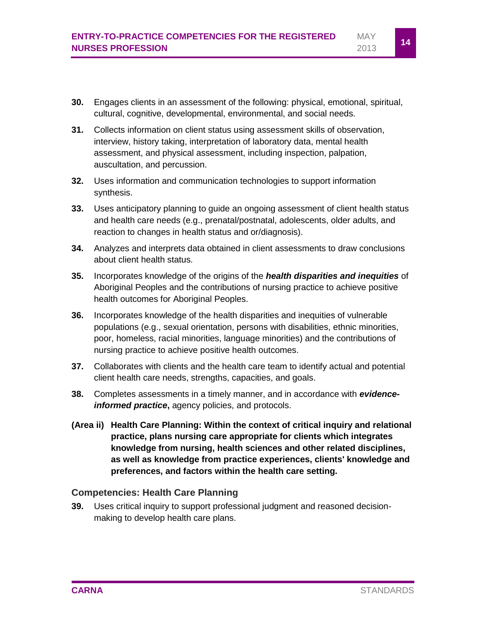- **30.** Engages clients in an assessment of the following: physical, emotional, spiritual, cultural, cognitive, developmental, environmental, and social needs.
- **31.** Collects information on client status using assessment skills of observation, interview, history taking, interpretation of laboratory data, mental health assessment, and physical assessment, including inspection, palpation, auscultation, and percussion.
- **32.** Uses information and communication technologies to support information synthesis.
- **33.** Uses anticipatory planning to guide an ongoing assessment of client health status and health care needs (e.g., prenatal/postnatal, adolescents, older adults, and reaction to changes in health status and or/diagnosis).
- **34.** Analyzes and interprets data obtained in client assessments to draw conclusions about client health status.
- **35.** Incorporates knowledge of the origins of the *health disparities and inequities* of Aboriginal Peoples and the contributions of nursing practice to achieve positive health outcomes for Aboriginal Peoples.
- **36.** Incorporates knowledge of the health disparities and inequities of vulnerable populations (e.g., sexual orientation, persons with disabilities, ethnic minorities, poor, homeless, racial minorities, language minorities) and the contributions of nursing practice to achieve positive health outcomes.
- **37.** Collaborates with clients and the health care team to identify actual and potential client health care needs, strengths, capacities, and goals.
- **38.** Completes assessments in a timely manner, and in accordance with *evidenceinformed practice*, agency policies, and protocols.
- **(Area ii) Health Care Planning: Within the context of critical inquiry and relational practice, plans nursing care appropriate for clients which integrates knowledge from nursing, health sciences and other related disciplines, as well as knowledge from practice experiences, clients' knowledge and preferences, and factors within the health care setting.**

#### **Competencies: Health Care Planning**

**39.** Uses critical inquiry to support professional judgment and reasoned decisionmaking to develop health care plans.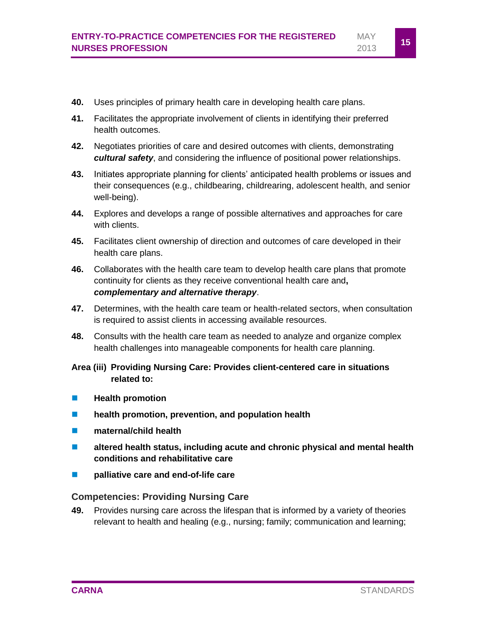- **40.** Uses principles of primary health care in developing health care plans.
- **41.** Facilitates the appropriate involvement of clients in identifying their preferred health outcomes.
- **42.** Negotiates priorities of care and desired outcomes with clients, demonstrating *cultural safety*, and considering the influence of positional power relationships.
- **43.** Initiates appropriate planning for clients' anticipated health problems or issues and their consequences (e.g., childbearing, childrearing, adolescent health, and senior well-being).
- **44.** Explores and develops a range of possible alternatives and approaches for care with clients.
- **45.** Facilitates client ownership of direction and outcomes of care developed in their health care plans.
- **46.** Collaborates with the health care team to develop health care plans that promote continuity for clients as they receive conventional health care and**,**  *complementary and alternative therapy*.
- **47.** Determines, with the health care team or health-related sectors, when consultation is required to assist clients in accessing available resources.
- **48.** Consults with the health care team as needed to analyze and organize complex health challenges into manageable components for health care planning.
- **Area (iii) Providing Nursing Care: Provides client-centered care in situations related to:**
- **Health promotion**
- **health promotion, prevention, and population health**
- $\blacksquare$  maternal/child health
- **altered health status, including acute and chronic physical and mental health conditions and rehabilitative care**
- **Palliative care and end-of-life care**

#### **Competencies: Providing Nursing Care**

**49.** Provides nursing care across the lifespan that is informed by a variety of theories relevant to health and healing (e.g., nursing; family; communication and learning;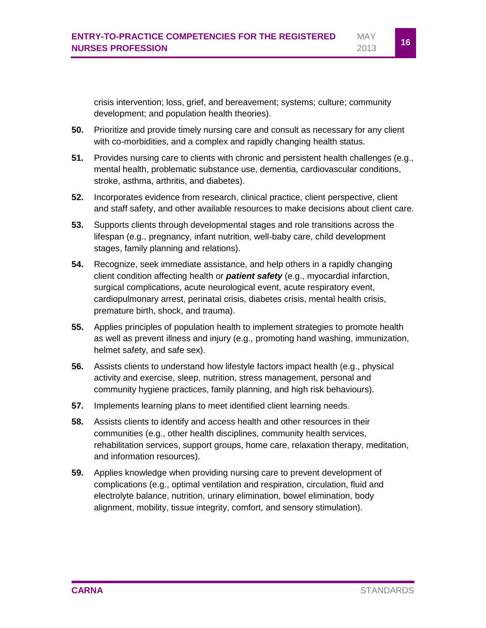crisis intervention; loss, grief, and bereavement; systems; culture; community development; and population health theories).

- **50.** Prioritize and provide timely nursing care and consult as necessary for any client with co-morbidities, and a complex and rapidly changing health status.
- **51.** Provides nursing care to clients with chronic and persistent health challenges (e.g., mental health, problematic substance use, dementia, cardiovascular conditions, stroke, asthma, arthritis, and diabetes).
- **52.** Incorporates evidence from research, clinical practice, client perspective, client and staff safety, and other available resources to make decisions about client care.
- **53.** Supports clients through developmental stages and role transitions across the lifespan (e.g., pregnancy, infant nutrition, well-baby care, child development stages, family planning and relations).
- **54.** Recognize, seek immediate assistance, and help others in a rapidly changing client condition affecting health or *patient safety* (e.g., myocardial infarction, surgical complications, acute neurological event, acute respiratory event, cardiopulmonary arrest, perinatal crisis, diabetes crisis, mental health crisis, premature birth, shock, and trauma).
- **55.** Applies principles of population health to implement strategies to promote health as well as prevent illness and injury (e.g., promoting hand washing, immunization, helmet safety, and safe sex).
- **56.** Assists clients to understand how lifestyle factors impact health (e.g., physical activity and exercise, sleep, nutrition, stress management, personal and community hygiene practices, family planning, and high risk behaviours).
- **57.** Implements learning plans to meet identified client learning needs.
- **58.** Assists clients to identify and access health and other resources in their communities (e.g., other health disciplines, community health services, rehabilitation services, support groups, home care, relaxation therapy, meditation, and information resources).
- **59.** Applies knowledge when providing nursing care to prevent development of complications (e.g., optimal ventilation and respiration, circulation, fluid and electrolyte balance, nutrition, urinary elimination, bowel elimination, body alignment, mobility, tissue integrity, comfort, and sensory stimulation).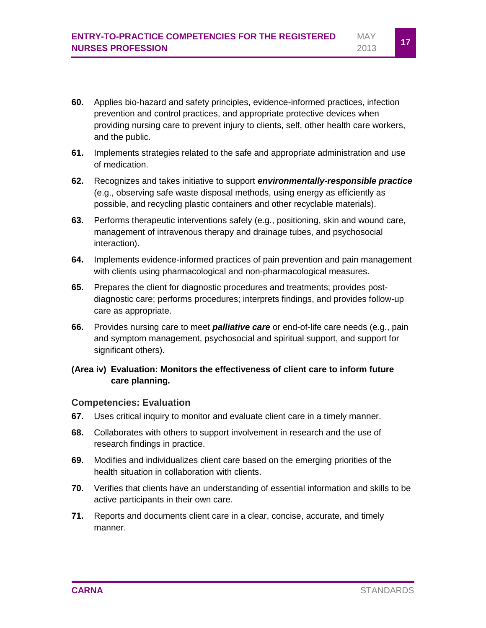- **60.** Applies bio-hazard and safety principles, evidence-informed practices, infection prevention and control practices, and appropriate protective devices when providing nursing care to prevent injury to clients, self, other health care workers, and the public.
- **61.** Implements strategies related to the safe and appropriate administration and use of medication.
- **62.** Recognizes and takes initiative to support *environmentally-responsible practice* (e.g., observing safe waste disposal methods, using energy as efficiently as possible, and recycling plastic containers and other recyclable materials).
- **63.** Performs therapeutic interventions safely (e.g., positioning, skin and wound care, management of intravenous therapy and drainage tubes, and psychosocial interaction).
- **64.** Implements evidence-informed practices of pain prevention and pain management with clients using pharmacological and non-pharmacological measures.
- **65.** Prepares the client for diagnostic procedures and treatments; provides postdiagnostic care; performs procedures; interprets findings, and provides follow-up care as appropriate.
- **66.** Provides nursing care to meet *palliative care* or end-of-life care needs (e.g., pain and symptom management, psychosocial and spiritual support, and support for significant others).

#### **(Area iv) Evaluation: Monitors the effectiveness of client care to inform future care planning.**

#### **Competencies: Evaluation**

- **67.** Uses critical inquiry to monitor and evaluate client care in a timely manner.
- **68.** Collaborates with others to support involvement in research and the use of research findings in practice.
- **69.** Modifies and individualizes client care based on the emerging priorities of the health situation in collaboration with clients.
- **70.** Verifies that clients have an understanding of essential information and skills to be active participants in their own care.
- **71.** Reports and documents client care in a clear, concise, accurate, and timely manner.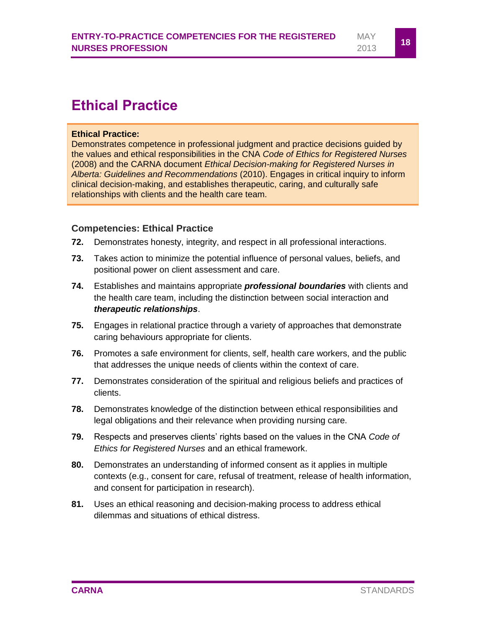### <span id="page-19-0"></span>**Ethical Practice**

#### **Ethical Practice:**

Demonstrates competence in professional judgment and practice decisions guided by the values and ethical responsibilities in the CNA *Code of Ethics for Registered Nurses* (2008) and the CARNA document *Ethical Decision-making for Registered Nurses in Alberta: Guidelines and Recommendations* (2010). Engages in critical inquiry to inform clinical decision-making, and establishes therapeutic, caring, and culturally safe relationships with clients and the health care team.

#### **Competencies: Ethical Practice**

- **72.** Demonstrates honesty, integrity, and respect in all professional interactions.
- **73.** Takes action to minimize the potential influence of personal values, beliefs, and positional power on client assessment and care.
- **74.** Establishes and maintains appropriate *professional boundaries* with clients and the health care team, including the distinction between social interaction and *therapeutic relationships*.
- **75.** Engages in relational practice through a variety of approaches that demonstrate caring behaviours appropriate for clients.
- **76.** Promotes a safe environment for clients, self, health care workers, and the public that addresses the unique needs of clients within the context of care.
- **77.** Demonstrates consideration of the spiritual and religious beliefs and practices of clients.
- **78.** Demonstrates knowledge of the distinction between ethical responsibilities and legal obligations and their relevance when providing nursing care.
- **79.** Respects and preserves clients' rights based on the values in the CNA *Code of Ethics for Registered Nurses* and an ethical framework.
- **80.** Demonstrates an understanding of informed consent as it applies in multiple contexts (e.g., consent for care, refusal of treatment, release of health information, and consent for participation in research).
- **81.** Uses an ethical reasoning and decision-making process to address ethical dilemmas and situations of ethical distress.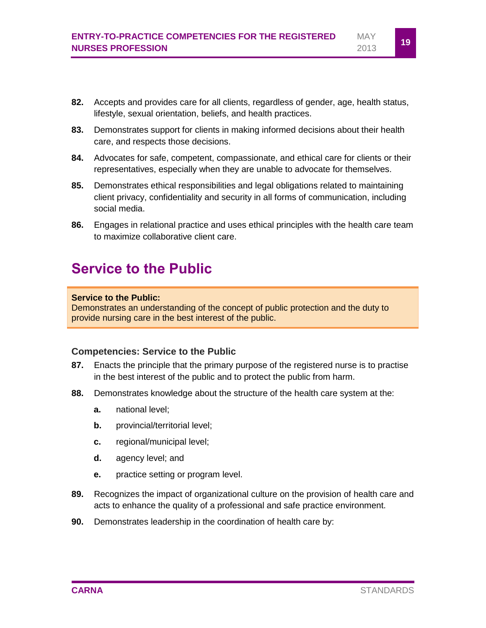- **82.** Accepts and provides care for all clients, regardless of gender, age, health status, lifestyle, sexual orientation, beliefs, and health practices.
- **83.** Demonstrates support for clients in making informed decisions about their health care, and respects those decisions.
- **84.** Advocates for safe, competent, compassionate, and ethical care for clients or their representatives, especially when they are unable to advocate for themselves.
- **85.** Demonstrates ethical responsibilities and legal obligations related to maintaining client privacy, confidentiality and security in all forms of communication, including social media.
- **86.** Engages in relational practice and uses ethical principles with the health care team to maximize collaborative client care.

### <span id="page-20-0"></span>**Service to the Public**

#### **Service to the Public:**

Demonstrates an understanding of the concept of public protection and the duty to provide nursing care in the best interest of the public.

#### **Competencies: Service to the Public**

- **87.** Enacts the principle that the primary purpose of the registered nurse is to practise in the best interest of the public and to protect the public from harm.
- **88.** Demonstrates knowledge about the structure of the health care system at the:
	- **a.** national level;
	- **b.** provincial/territorial level;
	- **c.** regional/municipal level;
	- **d.** agency level; and
	- **e.** practice setting or program level.
- **89.** Recognizes the impact of organizational culture on the provision of health care and acts to enhance the quality of a professional and safe practice environment.
- **90.** Demonstrates leadership in the coordination of health care by: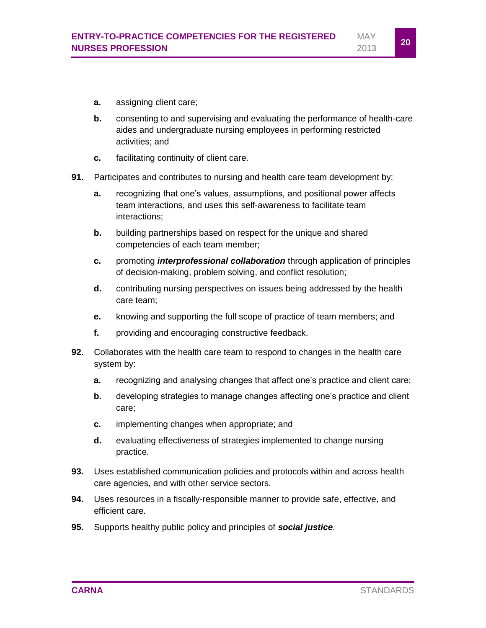- **a.** assigning client care;
- **b.** consenting to and supervising and evaluating the performance of health-care aides and undergraduate nursing employees in performing restricted activities; and
- **c.** facilitating continuity of client care.
- **91.** Participates and contributes to nursing and health care team development by:
	- **a.** recognizing that one's values, assumptions, and positional power affects team interactions, and uses this self-awareness to facilitate team interactions;
	- **b.** building partnerships based on respect for the unique and shared competencies of each team member;
	- **c.** promoting *interprofessional collaboration* through application of principles of decision-making, problem solving, and conflict resolution;
	- **d.** contributing nursing perspectives on issues being addressed by the health care team;
	- **e.** knowing and supporting the full scope of practice of team members; and
	- **f.** providing and encouraging constructive feedback.
- **92.** Collaborates with the health care team to respond to changes in the health care system by:
	- **a.** recognizing and analysing changes that affect one's practice and client care;
	- **b.** developing strategies to manage changes affecting one's practice and client care;
	- **c.** implementing changes when appropriate; and
	- **d.** evaluating effectiveness of strategies implemented to change nursing practice.
- **93.** Uses established communication policies and protocols within and across health care agencies, and with other service sectors.
- **94.** Uses resources in a fiscally-responsible manner to provide safe, effective, and efficient care.
- **95.** Supports healthy public policy and principles of *social justice*.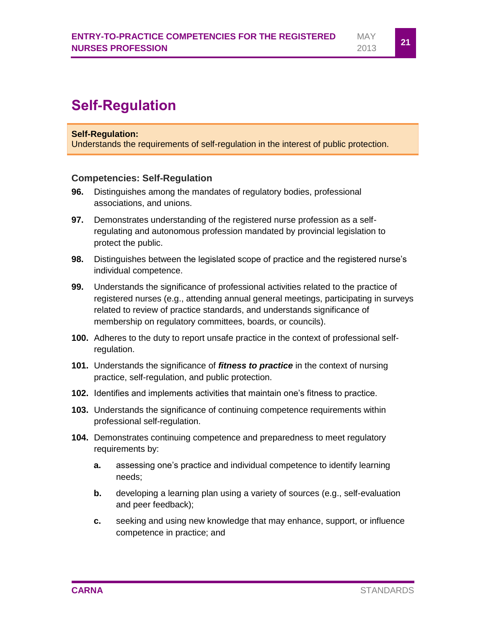#### <span id="page-22-0"></span>**Self-Regulation:**

Understands the requirements of self-regulation in the interest of public protection.

#### **Competencies: Self-Regulation**

- **96.** Distinguishes among the mandates of regulatory bodies, professional associations, and unions.
- **97.** Demonstrates understanding of the registered nurse profession as a selfregulating and autonomous profession mandated by provincial legislation to protect the public.
- **98.** Distinguishes between the legislated scope of practice and the registered nurse's individual competence.
- **99.** Understands the significance of professional activities related to the practice of registered nurses (e.g., attending annual general meetings, participating in surveys related to review of practice standards, and understands significance of membership on regulatory committees, boards, or councils).
- **100.** Adheres to the duty to report unsafe practice in the context of professional selfregulation.
- **101.** Understands the significance of *fitness to practice* in the context of nursing practice, self-regulation, and public protection.
- **102.** Identifies and implements activities that maintain one's fitness to practice.
- **103.** Understands the significance of continuing competence requirements within professional self-regulation.
- **104.** Demonstrates continuing competence and preparedness to meet regulatory requirements by:
	- **a.** assessing one's practice and individual competence to identify learning needs;
	- **b.** developing a learning plan using a variety of sources (e.g., self-evaluation and peer feedback);
	- **c.** seeking and using new knowledge that may enhance, support, or influence competence in practice; and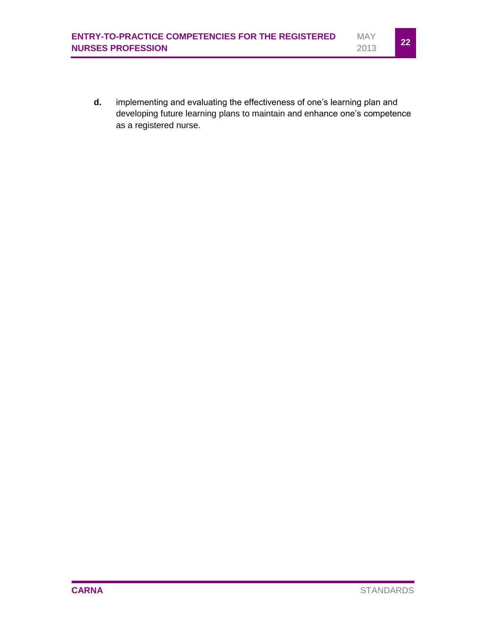**d.** implementing and evaluating the effectiveness of one's learning plan and developing future learning plans to maintain and enhance one's competence as a registered nurse.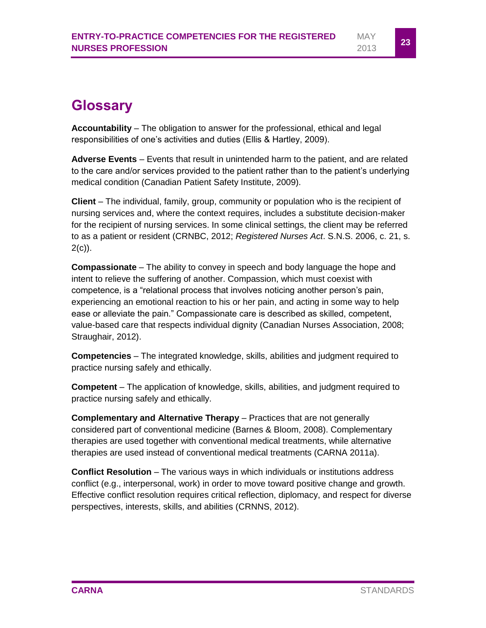### <span id="page-24-0"></span>**Glossary**

**Accountability** – The obligation to answer for the professional, ethical and legal responsibilities of one's activities and duties (Ellis & Hartley, 2009).

**Adverse Events** – Events that result in unintended harm to the patient, and are related to the care and/or services provided to the patient rather than to the patient's underlying medical condition (Canadian Patient Safety Institute, 2009).

**Client** – The individual, family, group, community or population who is the recipient of nursing services and, where the context requires, includes a substitute decision-maker for the recipient of nursing services. In some clinical settings, the client may be referred to as a patient or resident (CRNBC, 2012; *Registered Nurses Act*. S.N.S. 2006, c. 21, s.  $2(c)$ ).

**Compassionate** – The ability to convey in speech and body language the hope and intent to relieve the suffering of another. Compassion, which must coexist with competence, is a "relational process that involves noticing another person's pain, experiencing an emotional reaction to his or her pain, and acting in some way to help ease or alleviate the pain." Compassionate care is described as skilled, competent, value-based care that respects individual dignity (Canadian Nurses Association, 2008; Straughair, 2012).

**Competencies** – The integrated knowledge, skills, abilities and judgment required to practice nursing safely and ethically.

**Competent** – The application of knowledge, skills, abilities, and judgment required to practice nursing safely and ethically.

**Complementary and Alternative Therapy** – Practices that are not generally considered part of conventional medicine (Barnes & Bloom, 2008). Complementary therapies are used together with conventional medical treatments, while alternative therapies are used instead of conventional medical treatments (CARNA 2011a).

**Conflict Resolution** – The various ways in which individuals or institutions address conflict (e.g., interpersonal, work) in order to move toward positive change and growth. Effective conflict resolution requires critical reflection, diplomacy, and respect for diverse perspectives, interests, skills, and abilities (CRNNS, 2012).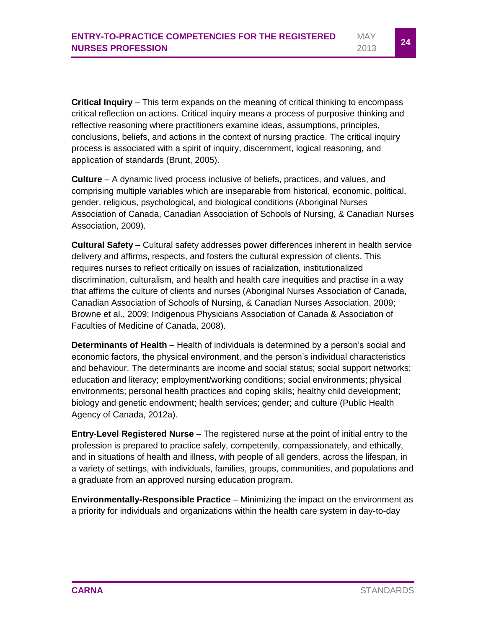**Critical Inquiry** – This term expands on the meaning of critical thinking to encompass critical reflection on actions. Critical inquiry means a process of purposive thinking and reflective reasoning where practitioners examine ideas, assumptions, principles, conclusions, beliefs, and actions in the context of nursing practice. The critical inquiry process is associated with a spirit of inquiry, discernment, logical reasoning, and application of standards (Brunt, 2005).

**Culture** – A dynamic lived process inclusive of beliefs, practices, and values, and comprising multiple variables which are inseparable from historical, economic, political, gender, religious, psychological, and biological conditions (Aboriginal Nurses Association of Canada, Canadian Association of Schools of Nursing, & Canadian Nurses Association, 2009).

**Cultural Safety** – Cultural safety addresses power differences inherent in health service delivery and affirms, respects, and fosters the cultural expression of clients. This requires nurses to reflect critically on issues of racialization, institutionalized discrimination, culturalism, and health and health care inequities and practise in a way that affirms the culture of clients and nurses (Aboriginal Nurses Association of Canada, Canadian Association of Schools of Nursing, & Canadian Nurses Association, 2009; Browne et al., 2009; Indigenous Physicians Association of Canada & Association of Faculties of Medicine of Canada, 2008).

**Determinants of Health** – Health of individuals is determined by a person's social and economic factors, the physical environment, and the person's individual characteristics and behaviour. The determinants are income and social status; social support networks; education and literacy; employment/working conditions; social environments; physical environments; personal health practices and coping skills; healthy child development; biology and genetic endowment; health services; gender; and culture (Public Health Agency of Canada, 2012a).

**Entry-Level Registered Nurse** – The registered nurse at the point of initial entry to the profession is prepared to practice safely, competently, compassionately, and ethically, and in situations of health and illness, with people of all genders, across the lifespan, in a variety of settings, with individuals, families, groups, communities, and populations and a graduate from an approved nursing education program.

**Environmentally-Responsible Practice** – Minimizing the impact on the environment as a priority for individuals and organizations within the health care system in day-to-day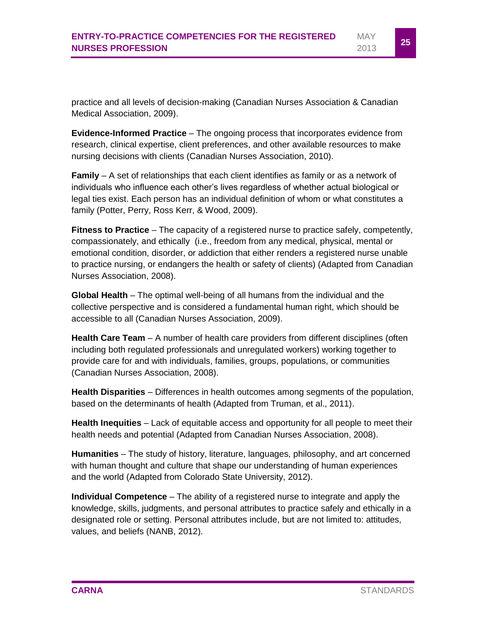practice and all levels of decision-making (Canadian Nurses Association & Canadian Medical Association, 2009).

**Evidence-Informed Practice** – The ongoing process that incorporates evidence from research, clinical expertise, client preferences, and other available resources to make nursing decisions with clients (Canadian Nurses Association, 2010).

**Family** – A set of relationships that each client identifies as family or as a network of individuals who influence each other's lives regardless of whether actual biological or legal ties exist. Each person has an individual definition of whom or what constitutes a family (Potter, Perry, Ross Kerr, & Wood, 2009).

**Fitness to Practice** – The capacity of a registered nurse to practice safely, competently, compassionately, and ethically (i.e., freedom from any medical, physical, mental or emotional condition, disorder, or addiction that either renders a registered nurse unable to practice nursing, or endangers the health or safety of clients) (Adapted from Canadian Nurses Association, 2008).

**Global Health** – The optimal well-being of all humans from the individual and the collective perspective and is considered a fundamental human right, which should be accessible to all (Canadian Nurses Association, 2009).

**Health Care Team** – A number of health care providers from different disciplines (often including both regulated professionals and unregulated workers) working together to provide care for and with individuals, families, groups, populations, or communities (Canadian Nurses Association, 2008).

**Health Disparities** – Differences in health outcomes among segments of the population, based on the determinants of health (Adapted from Truman, et al., 2011).

**Health Inequities** – Lack of equitable access and opportunity for all people to meet their health needs and potential (Adapted from Canadian Nurses Association, 2008).

**Humanities** – The study of history, literature, languages, philosophy, and art concerned with human thought and culture that shape our understanding of human experiences and the world (Adapted from Colorado State University, 2012).

**Individual Competence** – The ability of a registered nurse to integrate and apply the knowledge, skills, judgments, and personal attributes to practice safely and ethically in a designated role or setting. Personal attributes include, but are not limited to: attitudes, values, and beliefs (NANB, 2012).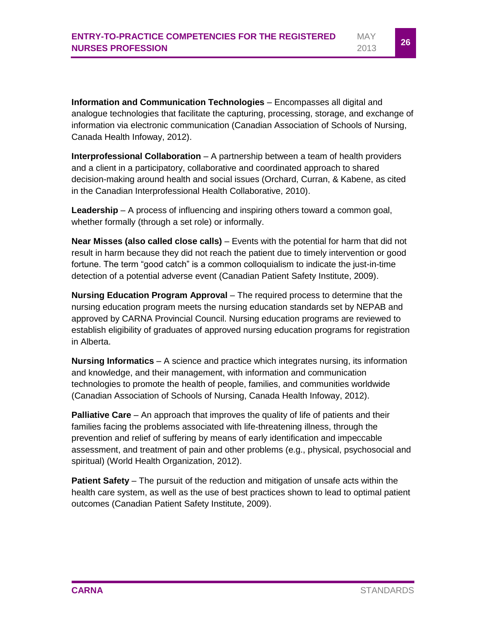**Information and Communication Technologies** – Encompasses all digital and analogue technologies that facilitate the capturing, processing, storage, and exchange of information via electronic communication (Canadian Association of Schools of Nursing, Canada Health Infoway, 2012).

**Interprofessional Collaboration** – A partnership between a team of health providers and a client in a participatory, collaborative and coordinated approach to shared decision-making around health and social issues (Orchard, Curran, & Kabene, as cited in the Canadian Interprofessional Health Collaborative, 2010).

**Leadership** – A process of influencing and inspiring others toward a common goal, whether formally (through a set role) or informally.

**Near Misses (also called close calls)** – Events with the potential for harm that did not result in harm because they did not reach the patient due to timely intervention or good fortune. The term "good catch" is a common colloquialism to indicate the just-in-time detection of a potential adverse event (Canadian Patient Safety Institute, 2009).

**Nursing Education Program Approval** – The required process to determine that the nursing education program meets the nursing education standards set by NEPAB and approved by CARNA Provincial Council. Nursing education programs are reviewed to establish eligibility of graduates of approved nursing education programs for registration in Alberta.

**Nursing Informatics** – A science and practice which integrates nursing, its information and knowledge, and their management, with information and communication technologies to promote the health of people, families, and communities worldwide (Canadian Association of Schools of Nursing, Canada Health Infoway, 2012).

**Palliative Care** – An approach that improves the quality of life of patients and their families facing the problems associated with life-threatening illness, through the prevention and relief of suffering by means of early identification and impeccable assessment, and treatment of pain and other problems (e.g., physical, psychosocial and spiritual) (World Health Organization, 2012).

**Patient Safety** – The pursuit of the reduction and mitigation of unsafe acts within the health care system, as well as the use of best practices shown to lead to optimal patient outcomes (Canadian Patient Safety Institute, 2009).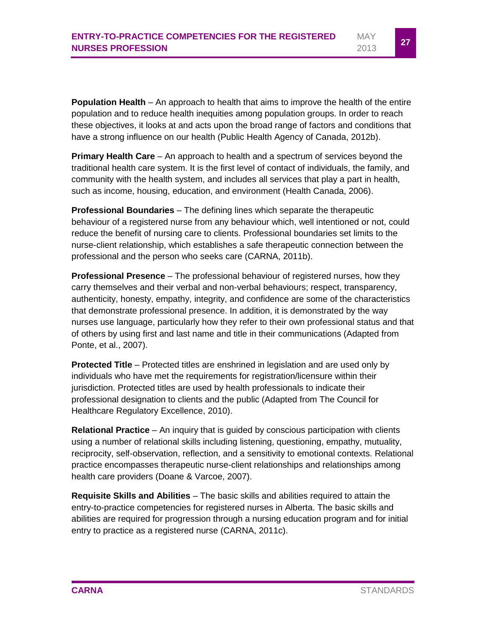**Population Health** – An approach to health that aims to improve the health of the entire population and to reduce health inequities among population groups. In order to reach these objectives, it looks at and acts upon the broad range of factors and conditions that have a strong influence on our health (Public Health Agency of Canada, 2012b).

**Primary Health Care** – An approach to health and a spectrum of services beyond the traditional health care system. It is the first level of contact of individuals, the family, and community with the health system, and includes all services that play a part in health, such as income, housing, education, and environment (Health Canada, 2006).

**Professional Boundaries** – The defining lines which separate the therapeutic behaviour of a registered nurse from any behaviour which, well intentioned or not, could reduce the benefit of nursing care to clients. Professional boundaries set limits to the nurse-client relationship, which establishes a safe therapeutic connection between the professional and the person who seeks care (CARNA, 2011b).

**Professional Presence** – The professional behaviour of registered nurses, how they carry themselves and their verbal and non-verbal behaviours; respect, transparency, authenticity, honesty, empathy, integrity, and confidence are some of the characteristics that demonstrate professional presence. In addition, it is demonstrated by the way nurses use language, particularly how they refer to their own professional status and that of others by using first and last name and title in their communications (Adapted from Ponte, et al., 2007).

**Protected Title** – Protected titles are enshrined in legislation and are used only by individuals who have met the requirements for registration/licensure within their jurisdiction. Protected titles are used by health professionals to indicate their professional designation to clients and the public (Adapted from The Council for Healthcare Regulatory Excellence, 2010).

**Relational Practice** – An inquiry that is guided by conscious participation with clients using a number of relational skills including listening, questioning, empathy, mutuality, reciprocity, self-observation, reflection, and a sensitivity to emotional contexts. Relational practice encompasses therapeutic nurse-client relationships and relationships among health care providers (Doane & Varcoe, 2007).

**Requisite Skills and Abilities** – The basic skills and abilities required to attain the entry-to-practice competencies for registered nurses in Alberta. The basic skills and abilities are required for progression through a nursing education program and for initial entry to practice as a registered nurse (CARNA, 2011c).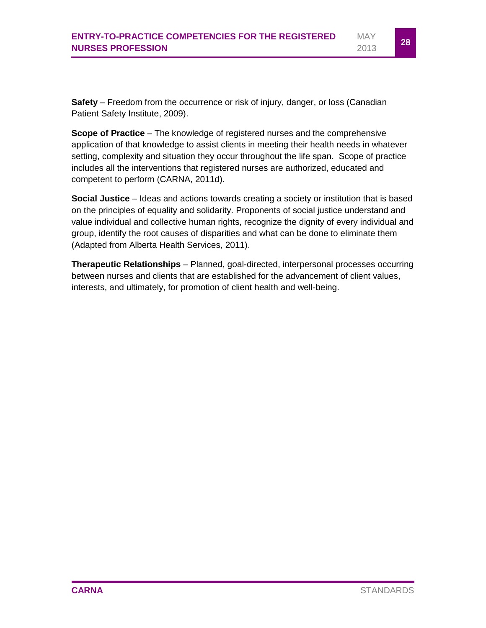**Safety** – Freedom from the occurrence or risk of injury, danger, or loss (Canadian Patient Safety Institute, 2009).

**Scope of Practice** – The knowledge of registered nurses and the comprehensive application of that knowledge to assist clients in meeting their health needs in whatever setting, complexity and situation they occur throughout the life span. Scope of practice includes all the interventions that registered nurses are authorized, educated and competent to perform (CARNA, 2011d).

**Social Justice** – Ideas and actions towards creating a society or institution that is based on the principles of equality and solidarity. Proponents of social justice understand and value individual and collective human rights, recognize the dignity of every individual and group, identify the root causes of disparities and what can be done to eliminate them (Adapted from Alberta Health Services, 2011).

**Therapeutic Relationships** – Planned, goal-directed, interpersonal processes occurring between nurses and clients that are established for the advancement of client values, interests, and ultimately, for promotion of client health and well-being.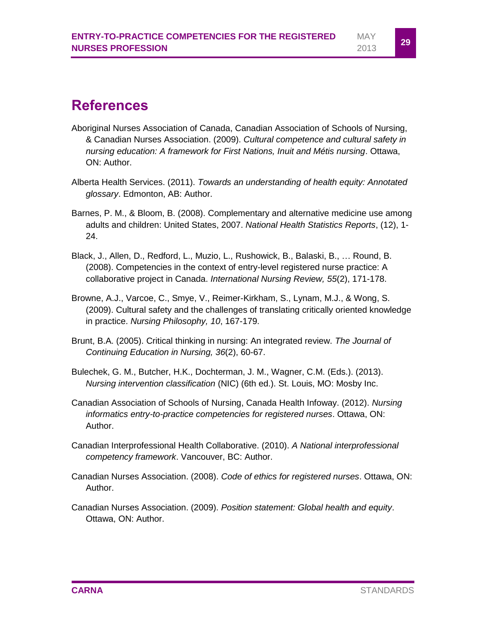### <span id="page-30-0"></span>**References**

- Aboriginal Nurses Association of Canada, Canadian Association of Schools of Nursing, & Canadian Nurses Association. (2009). *Cultural competence and cultural safety in nursing education: A framework for First Nations, Inuit and Métis nursing*. Ottawa, ON: Author.
- Alberta Health Services. (2011). *Towards an understanding of health equity: Annotated glossary*. Edmonton, AB: Author.
- Barnes, P. M., & Bloom, B. (2008). Complementary and alternative medicine use among adults and children: United States, 2007. *National Health Statistics Reports*, (12), 1- 24.
- Black, J., Allen, D., Redford, L., Muzio, L., Rushowick, B., Balaski, B., … Round, B. (2008). Competencies in the context of entry-level registered nurse practice: A collaborative project in Canada. *International Nursing Review, 55*(2), 171-178.
- Browne, A.J., Varcoe, C., Smye, V., Reimer-Kirkham, S., Lynam, M.J., & Wong, S. (2009). Cultural safety and the challenges of translating critically oriented knowledge in practice. *Nursing Philosophy, 10*, 167-179.
- Brunt, B.A. (2005). Critical thinking in nursing: An integrated review. *The Journal of Continuing Education in Nursing, 36*(2), 60-67.
- Bulechek, G. M., Butcher, H.K., Dochterman, J. M., Wagner, C.M. (Eds.). (2013). *Nursing intervention classification* (NIC) (6th ed.). St. Louis, MO: Mosby Inc.
- Canadian Association of Schools of Nursing, Canada Health Infoway. (2012). *Nursing informatics entry-to-practice competencies for registered nurses*. Ottawa, ON: Author.
- Canadian Interprofessional Health Collaborative. (2010). *A National interprofessional competency framework*. Vancouver, BC: Author.
- Canadian Nurses Association. (2008). *Code of ethics for registered nurses*. Ottawa, ON: Author.
- Canadian Nurses Association. (2009). *Position statement: Global health and equity*. Ottawa, ON: Author.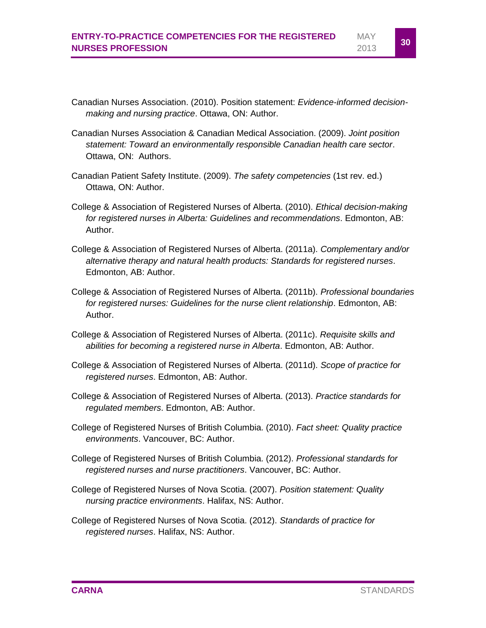- Canadian Nurses Association. (2010). Position statement: *Evidence-informed decisionmaking and nursing practice*. Ottawa, ON: Author.
- Canadian Nurses Association & Canadian Medical Association. (2009). *Joint position statement: Toward an environmentally responsible Canadian health care sector*. Ottawa, ON: Authors.
- Canadian Patient Safety Institute. (2009). *The safety competencies* (1st rev. ed.) Ottawa, ON: Author.
- College & Association of Registered Nurses of Alberta. (2010). *Ethical decision-making for registered nurses in Alberta: Guidelines and recommendations*. Edmonton, AB: Author.
- College & Association of Registered Nurses of Alberta. (2011a). *Complementary and/or alternative therapy and natural health products: Standards for registered nurses*. Edmonton, AB: Author.
- College & Association of Registered Nurses of Alberta. (2011b). *Professional boundaries for registered nurses: Guidelines for the nurse client relationship*. Edmonton, AB: Author.
- College & Association of Registered Nurses of Alberta. (2011c). *Requisite skills and abilities for becoming a registered nurse in Alberta*. Edmonton, AB: Author.
- College & Association of Registered Nurses of Alberta. (2011d). *Scope of practice for registered nurses*. Edmonton, AB: Author.
- College & Association of Registered Nurses of Alberta. (2013). *Practice standards for regulated members*. Edmonton, AB: Author.
- College of Registered Nurses of British Columbia. (2010). *Fact sheet: Quality practice environments*. Vancouver, BC: Author.
- College of Registered Nurses of British Columbia. (2012). *Professional standards for registered nurses and nurse practitioners*. Vancouver, BC: Author.
- College of Registered Nurses of Nova Scotia. (2007). *Position statement: Quality nursing practice environments*. Halifax, NS: Author.
- College of Registered Nurses of Nova Scotia. (2012). *Standards of practice for registered nurses*. Halifax, NS: Author.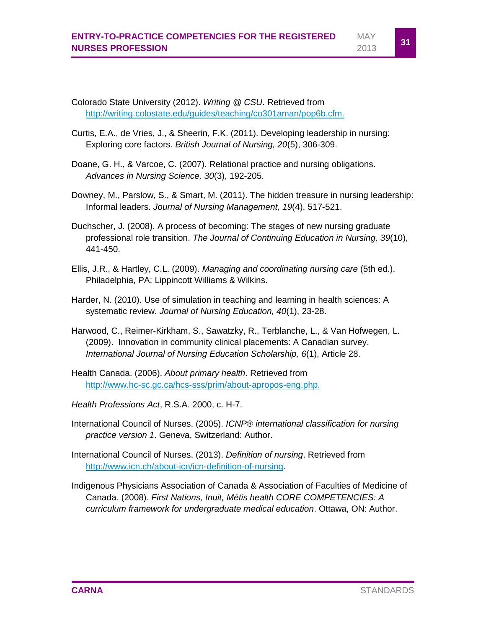Colorado State University (2012). *Writing @ CSU*. Retrieved from [http://writing.colostate.edu/guides/teaching/co301aman/pop6b.cfm.](http://writing.colostate.edu/guides/teaching/co301aman/pop6b.cfm)

- Curtis, E.A., de Vries, J., & Sheerin, F.K. (2011). Developing leadership in nursing: Exploring core factors. *British Journal of Nursing, 20*(5), 306-309.
- Doane, G. H., & Varcoe, C. (2007). Relational practice and nursing obligations. *Advances in Nursing Science, 30*(3), 192-205.
- Downey, M., Parslow, S., & Smart, M. (2011). The hidden treasure in nursing leadership: Informal leaders. *Journal of Nursing Management, 19*(4), 517-521.
- Duchscher, J. (2008). A process of becoming: The stages of new nursing graduate professional role transition. *The Journal of Continuing Education in Nursing, 39*(10), 441-450.
- Ellis, J.R., & Hartley, C.L. (2009). *Managing and coordinating nursing care* (5th ed.). Philadelphia, PA: Lippincott Williams & Wilkins.
- Harder, N. (2010). Use of simulation in teaching and learning in health sciences: A systematic review. *Journal of Nursing Education, 40*(1), 23-28.
- Harwood, C., Reimer-Kirkham, S., Sawatzky, R., Terblanche, L., & Van Hofwegen, L. (2009). Innovation in community clinical placements: A Canadian survey. *International Journal of Nursing Education Scholarship, 6*(1), Article 28.
- Health Canada. (2006). *About primary health*. Retrieved from [http://www.hc-sc.gc.ca/hcs-sss/prim/about-apropos-eng.php.](http://www.hc-sc.gc.ca/hcs-sss/prim/about-apropos-eng.php)
- *Health Professions Act*, R.S.A. 2000, c. H-7.
- International Council of Nurses. (2005). *ICNP® international classification for nursing practice version 1*. Geneva, Switzerland: Author.
- International Council of Nurses. (2013). *Definition of nursing*. Retrieved from [http://www.icn.ch/about-icn/icn-definition-of-nursing.](http://www.icn.ch/about-icn/icn-definition-of-nursing)
- Indigenous Physicians Association of Canada & Association of Faculties of Medicine of Canada. (2008). *First Nations, Inuit, Métis health CORE COMPETENCIES: A curriculum framework for undergraduate medical education*. Ottawa, ON: Author.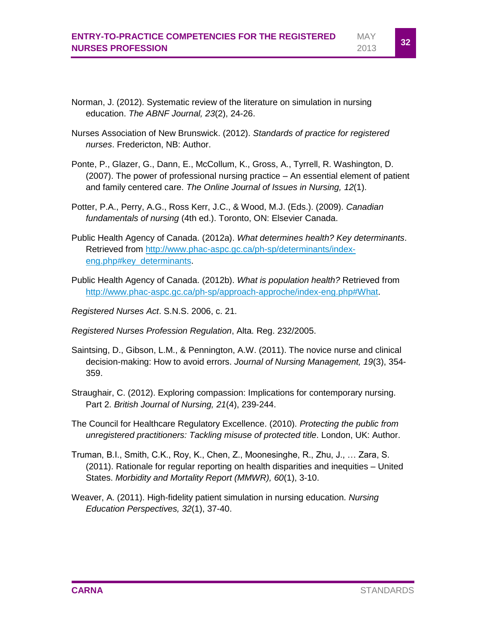MAY <sup>2013</sup> **<sup>32</sup>**

- Norman, J. (2012). Systematic review of the literature on simulation in nursing education. *The ABNF Journal, 23*(2), 24-26.
- Nurses Association of New Brunswick. (2012). *Standards of practice for registered nurses*. Fredericton, NB: Author.
- Ponte, P., Glazer, G., Dann, E., McCollum, K., Gross, A., Tyrrell, R. Washington, D. (2007). The power of professional nursing practice – An essential element of patient and family centered care. *The Online Journal of Issues in Nursing, 12*(1).
- Potter, P.A., Perry, A.G., Ross Kerr, J.C., & Wood, M.J. (Eds.). (2009). *Canadian fundamentals of nursing* (4th ed.). Toronto, ON: Elsevier Canada.
- Public Health Agency of Canada. (2012a). *What determines health? Key determinants*. Retrieved from [http://www.phac-aspc.gc.ca/ph-sp/determinants/index](http://www.phac-aspc.gc.ca/ph-sp/determinants/index-eng.php#key_determinants)[eng.php#key\\_determinants.](http://www.phac-aspc.gc.ca/ph-sp/determinants/index-eng.php#key_determinants)
- Public Health Agency of Canada. (2012b). *What is population health?* Retrieved from [http://www.phac-aspc.gc.ca/ph-sp/approach-approche/index-eng.php#What.](http://www.phac-aspc.gc.ca/ph-sp/approach-approche/index-eng.php#What)
- *Registered Nurses Act*. S.N.S. 2006, c. 21.
- *Registered Nurses Profession Regulation*, Alta. Reg. 232/2005.
- Saintsing, D., Gibson, L.M., & Pennington, A.W. (2011). The novice nurse and clinical decision-making: How to avoid errors. *Journal of Nursing Management, 19*(3), 354- 359.
- Straughair, C. (2012). Exploring compassion: Implications for contemporary nursing. Part 2. *British Journal of Nursing, 21*(4), 239-244.
- The Council for Healthcare Regulatory Excellence. (2010). *Protecting the public from unregistered practitioners: Tackling misuse of protected title*. London, UK: Author.
- Truman, B.I., Smith, C.K., Roy, K., Chen, Z., Moonesinghe, R., Zhu, J., … Zara, S. (2011). Rationale for regular reporting on health disparities and inequities – United States. *Morbidity and Mortality Report (MMWR), 60*(1), 3-10.
- Weaver, A. (2011). High-fidelity patient simulation in nursing education. *Nursing Education Perspectives, 32*(1), 37-40.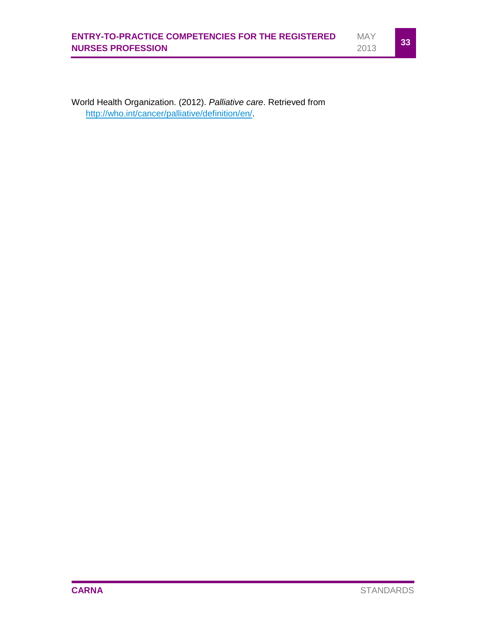

World Health Organization. (2012). *Palliative care*. Retrieved from [http://who.int/cancer/palliative/definition/en/.](http://who.int/cancer/palliative/definition/en/)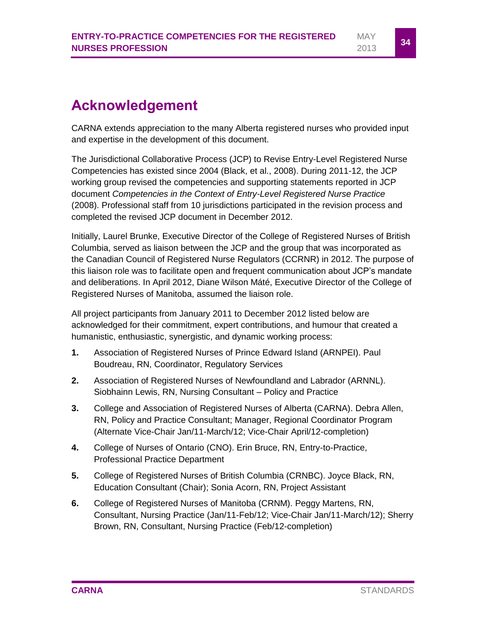# <span id="page-35-0"></span>**Acknowledgement**

CARNA extends appreciation to the many Alberta registered nurses who provided input and expertise in the development of this document.

The Jurisdictional Collaborative Process (JCP) to Revise Entry-Level Registered Nurse Competencies has existed since 2004 (Black, et al., 2008). During 2011-12, the JCP working group revised the competencies and supporting statements reported in JCP document *Competencies in the Context of Entry-Level Registered Nurse Practice* (2008). Professional staff from 10 jurisdictions participated in the revision process and completed the revised JCP document in December 2012.

Initially, Laurel Brunke, Executive Director of the College of Registered Nurses of British Columbia, served as liaison between the JCP and the group that was incorporated as the Canadian Council of Registered Nurse Regulators (CCRNR) in 2012. The purpose of this liaison role was to facilitate open and frequent communication about JCP's mandate and deliberations. In April 2012, Diane Wilson Máté, Executive Director of the College of Registered Nurses of Manitoba, assumed the liaison role.

All project participants from January 2011 to December 2012 listed below are acknowledged for their commitment, expert contributions, and humour that created a humanistic, enthusiastic, synergistic, and dynamic working process:

- **1.** Association of Registered Nurses of Prince Edward Island (ARNPEI). Paul Boudreau, RN, Coordinator, Regulatory Services
- **2.** Association of Registered Nurses of Newfoundland and Labrador (ARNNL). Siobhainn Lewis, RN, Nursing Consultant – Policy and Practice
- **3.** College and Association of Registered Nurses of Alberta (CARNA). Debra Allen, RN, Policy and Practice Consultant; Manager, Regional Coordinator Program (Alternate Vice-Chair Jan/11-March/12; Vice-Chair April/12-completion)
- **4.** College of Nurses of Ontario (CNO). Erin Bruce, RN, Entry-to-Practice, Professional Practice Department
- **5.** College of Registered Nurses of British Columbia (CRNBC). Joyce Black, RN, Education Consultant (Chair); Sonia Acorn, RN, Project Assistant
- **6.** College of Registered Nurses of Manitoba (CRNM). Peggy Martens, RN, Consultant, Nursing Practice (Jan/11-Feb/12; Vice-Chair Jan/11-March/12); Sherry Brown, RN, Consultant, Nursing Practice (Feb/12-completion)